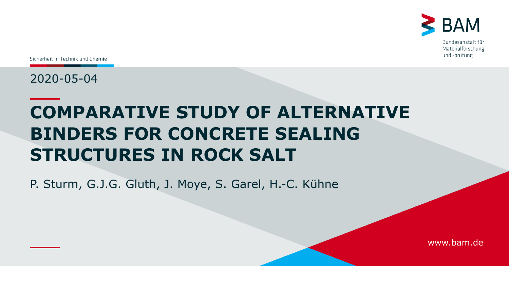

Sicherheit in Technik und Chemie

2020-05-04

# **COMPARATIVE STUDY OF ALTERNATIVE BINDERS FOR CONCRETE SEALING STRUCTURES IN ROCK SALT**

P. Sturm, G.J.G. Gluth, J. Moye, S. Garel, H.-C. Kühne

www.bam.de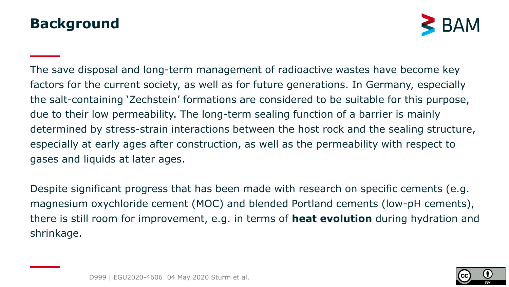#### **Background**



The save disposal and long-term management of radioactive wastes have become key factors for the current society, as well as for future generations. In Germany, especially the salt-containing 'Zechstein' formations are considered to be suitable for this purpose, due to their low permeability. The long-term sealing function of a barrier is mainly determined by stress-strain interactions between the host rock and the sealing structure, especially at early ages after construction, as well as the permeability with respect to gases and liquids at later ages.

Despite significant progress that has been made with research on specific cements (e.g. magnesium oxychloride cement (MOC) and blended Portland cements (low-pH cements), there is still room for improvement, e.g. in terms of **heat evolution** during hydration and shrinkage.

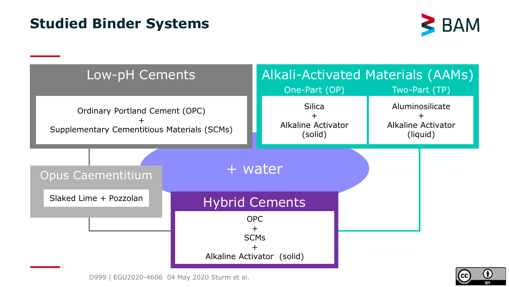#### **Studied Binder Systems**



3

 $\left($ 

| Low-pH Cements                                                                | Alkali-Activated Materials (AAMs)<br>One-Part (OP)<br>Two-Part (TP) |                       |                                                          |  |  |
|-------------------------------------------------------------------------------|---------------------------------------------------------------------|-----------------------|----------------------------------------------------------|--|--|
| Ordinary Portland Cement (OPC)<br>Supplementary Cementitious Materials (SCMs) | <b>Silica</b><br><b>Alkaline Activator</b><br>(solid)               |                       | Aluminosilicate<br><b>Alkaline Activator</b><br>(liquid) |  |  |
| <b>Opus Caementitium</b>                                                      |                                                                     | + water               |                                                          |  |  |
| Slaked Lime + Pozzolan                                                        |                                                                     | <b>Hybrid Cements</b> |                                                          |  |  |
|                                                                               | <b>OPC</b><br>$\pm$<br><b>SCMs</b><br>Alkaline Activator (solid)    |                       |                                                          |  |  |

D999 | EGU2020-4606 04 May 2020 Sturm et al.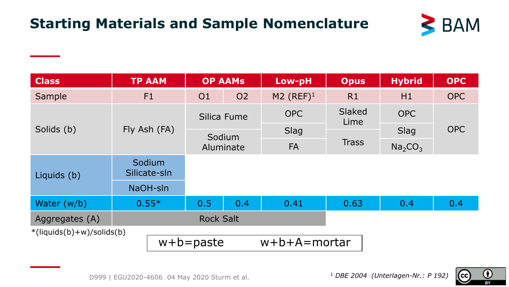### **Starting Materials and Sample Nomenclature**



| <b>Class</b>                                                                     | <b>TP AAM</b>          |                     | <b>OP AAMS</b> | Low-pH       | <b>Opus</b>    | <b>Hybrid</b>                   | <b>OPC</b> |
|----------------------------------------------------------------------------------|------------------------|---------------------|----------------|--------------|----------------|---------------------------------|------------|
| Sample                                                                           | F1                     | O <sub>1</sub>      | <b>O2</b>      | M2 $(REF)^1$ | R1             | H1                              | <b>OPC</b> |
| Solids (b)                                                                       | Fly Ash (FA)           | Silica Fume         |                | <b>OPC</b>   | Slaked<br>Lime | <b>OPC</b>                      | <b>OPC</b> |
|                                                                                  |                        | Sodium<br>Aluminate |                | Slag         | <b>Trass</b>   | Slag                            |            |
|                                                                                  |                        |                     |                | <b>FA</b>    |                | Na <sub>2</sub> CO <sub>3</sub> |            |
| Liquids (b)                                                                      | Sodium<br>Silicate-sln |                     |                |              |                |                                 |            |
|                                                                                  | NaOH-sln               |                     |                |              |                |                                 |            |
| Water (w/b)                                                                      | $0.55*$                | 0.5                 | 0.4            | 0.41         | 0.63           | 0.4                             | 0.4        |
| Aggregates (A)                                                                   | <b>Rock Salt</b>       |                     |                |              |                |                                 |            |
| $*(\text{liquids}(b)+w)/\text{solids}(b))$<br>$w+b+A=$ mortar<br>$w + b =$ paste |                        |                     |                |              |                |                                 |            |

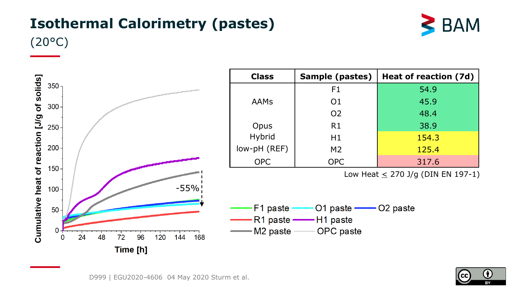## **Isothermal Calorimetry (pastes)**



(20°C)



| <b>Class</b> | Sample (pastes) | Heat of reaction (7d) |  |  |
|--------------|-----------------|-----------------------|--|--|
|              | F1              | 54.9                  |  |  |
| AAMs         | O <sub>1</sub>  | 45.9                  |  |  |
|              | O <sub>2</sub>  | 48.4                  |  |  |
| Opus         | R1              | 38.9                  |  |  |
| Hybrid       | H1              | 154.3                 |  |  |
| low-pH (REF) | M <sub>2</sub>  | 125.4                 |  |  |
| <b>OPC</b>   | <b>OPC</b>      | 317.6                 |  |  |

Low Heat  $\leq$  270 J/g (DIN EN 197-1)



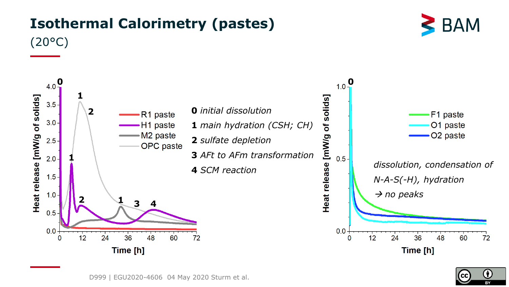

## **Isothermal Calorimetry (pastes)**



D999 | EGU2020-4606 04 May 2020 Sturm et al.

**CC**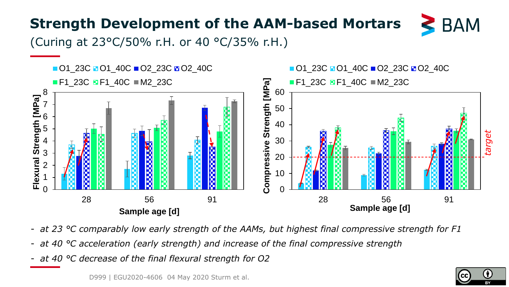### **Strength Development of the AAM-based Mortars**



(Curing at 23°C/50% r.H. or 40 °C/35% r.H.)



- *at 23 °C comparably low early strength of the AAMs, but highest final compressive strength for F1*
- *at 40 °C acceleration (early strength) and increase of the final compressive strength*
- *at 40 °C decrease of the final flexural strength for O2*

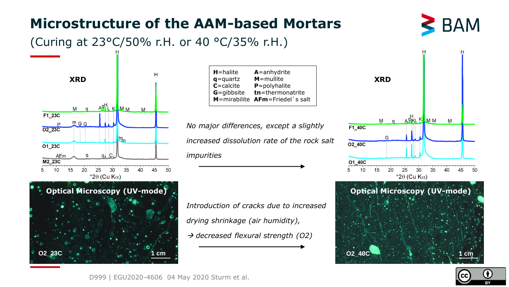#### **Microstructure of the AAM-based Mortars**



#### (Curing at 23°C/50% r.H. or 40 °C/35% r.H.)



**Optical Microscopy (UV-mode)**

**H**=halite **A**=anhydrite **q**=quartz **M**=mullite **C**=calcite **P**=polyhalite **G**=gibbsite **tn**=thermonatrite **M**=mirabilite **AFm**=Friedel`s salt

*No major differences, except a slightly increased dissolution rate of the rock salt impurities*

*Introduction of cracks due to increased drying shrinkage (air humidity),* → *decreased flexural strength (O2)*







D999 | EGU2020-4606 04 May 2020 Sturm et al.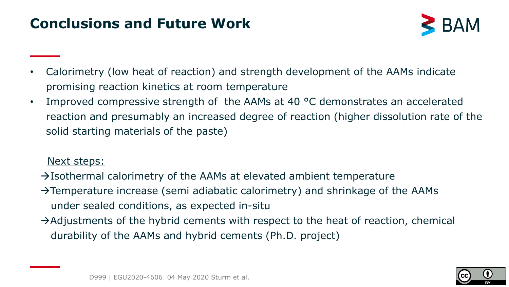#### **Conclusions and Future Work**



- Calorimetry (low heat of reaction) and strength development of the AAMs indicate promising reaction kinetics at room temperature
- Improved compressive strength of the AAMs at 40 °C demonstrates an accelerated reaction and presumably an increased degree of reaction (higher dissolution rate of the solid starting materials of the paste)

#### Next steps:

- $\rightarrow$ Isothermal calorimetry of the AAMs at elevated ambient temperature
- →Temperature increase (semi adiabatic calorimetry) and shrinkage of the AAMs under sealed conditions, as expected in-situ
- $\rightarrow$ Adjustments of the hybrid cements with respect to the heat of reaction, chemical durability of the AAMs and hybrid cements (Ph.D. project)